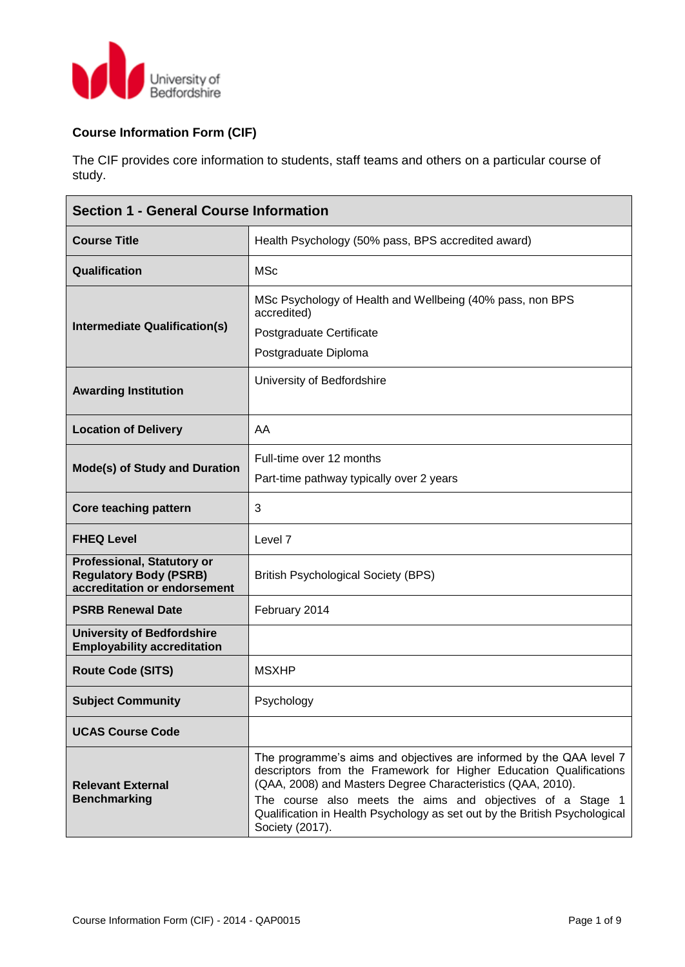

## **Course Information Form (CIF)**

The CIF provides core information to students, staff teams and others on a particular course of study.

| <b>Section 1 - General Course Information</b>                                                      |                                                                                                                                                                                                                                                                                                                                                                         |  |  |  |  |  |
|----------------------------------------------------------------------------------------------------|-------------------------------------------------------------------------------------------------------------------------------------------------------------------------------------------------------------------------------------------------------------------------------------------------------------------------------------------------------------------------|--|--|--|--|--|
| <b>Course Title</b>                                                                                | Health Psychology (50% pass, BPS accredited award)                                                                                                                                                                                                                                                                                                                      |  |  |  |  |  |
| Qualification                                                                                      | <b>MSc</b>                                                                                                                                                                                                                                                                                                                                                              |  |  |  |  |  |
| Intermediate Qualification(s)                                                                      | MSc Psychology of Health and Wellbeing (40% pass, non BPS<br>accredited)<br>Postgraduate Certificate<br>Postgraduate Diploma                                                                                                                                                                                                                                            |  |  |  |  |  |
| <b>Awarding Institution</b>                                                                        | University of Bedfordshire                                                                                                                                                                                                                                                                                                                                              |  |  |  |  |  |
| <b>Location of Delivery</b>                                                                        | AA                                                                                                                                                                                                                                                                                                                                                                      |  |  |  |  |  |
| <b>Mode(s) of Study and Duration</b>                                                               | Full-time over 12 months<br>Part-time pathway typically over 2 years                                                                                                                                                                                                                                                                                                    |  |  |  |  |  |
| <b>Core teaching pattern</b>                                                                       | 3                                                                                                                                                                                                                                                                                                                                                                       |  |  |  |  |  |
| <b>FHEQ Level</b>                                                                                  | Level 7                                                                                                                                                                                                                                                                                                                                                                 |  |  |  |  |  |
| <b>Professional, Statutory or</b><br><b>Regulatory Body (PSRB)</b><br>accreditation or endorsement | <b>British Psychological Society (BPS)</b>                                                                                                                                                                                                                                                                                                                              |  |  |  |  |  |
| <b>PSRB Renewal Date</b>                                                                           | February 2014                                                                                                                                                                                                                                                                                                                                                           |  |  |  |  |  |
| <b>University of Bedfordshire</b><br><b>Employability accreditation</b>                            |                                                                                                                                                                                                                                                                                                                                                                         |  |  |  |  |  |
| <b>Route Code (SITS)</b>                                                                           | <b>MSXHP</b>                                                                                                                                                                                                                                                                                                                                                            |  |  |  |  |  |
| <b>Subject Community</b>                                                                           | Psychology                                                                                                                                                                                                                                                                                                                                                              |  |  |  |  |  |
| <b>UCAS Course Code</b>                                                                            |                                                                                                                                                                                                                                                                                                                                                                         |  |  |  |  |  |
| <b>Relevant External</b><br><b>Benchmarking</b>                                                    | The programme's aims and objectives are informed by the QAA level 7<br>descriptors from the Framework for Higher Education Qualifications<br>(QAA, 2008) and Masters Degree Characteristics (QAA, 2010).<br>The course also meets the aims and objectives of a Stage 1<br>Qualification in Health Psychology as set out by the British Psychological<br>Society (2017). |  |  |  |  |  |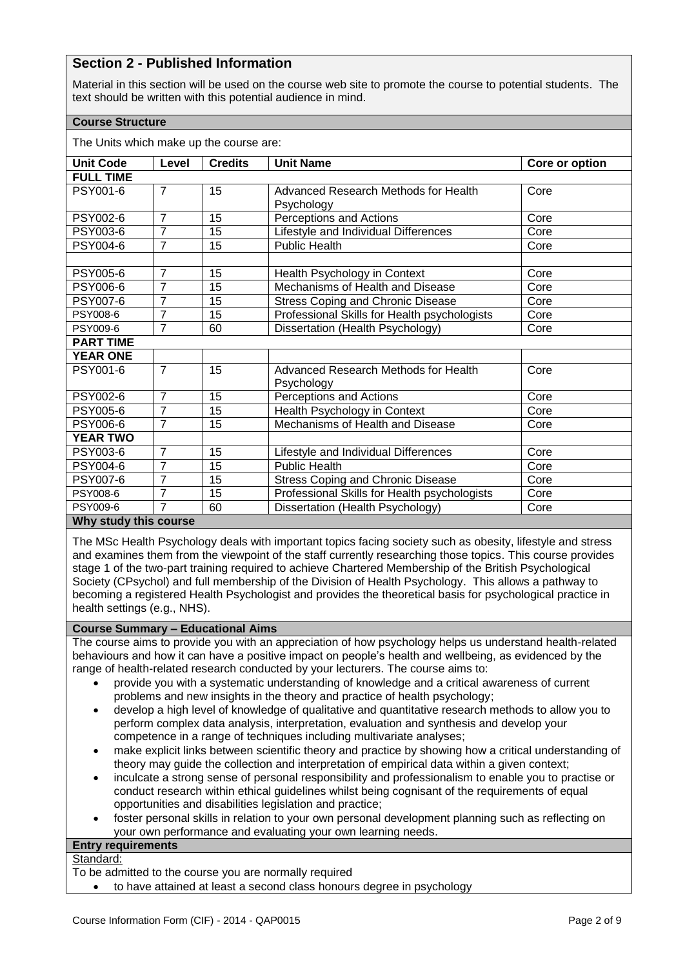## **Section 2 - Published Information**

Material in this section will be used on the course web site to promote the course to potential students. The text should be written with this potential audience in mind.

## **Course Structure**

The Units which make up the course are:

| <b>Unit Code</b>      | Level          | <b>Credits</b> | <b>Unit Name</b>                                   | Core or option |  |  |
|-----------------------|----------------|----------------|----------------------------------------------------|----------------|--|--|
| <b>FULL TIME</b>      |                |                |                                                    |                |  |  |
| PSY001-6              | $\overline{7}$ | 15             | Advanced Research Methods for Health<br>Psychology | Core           |  |  |
| PSY002-6              | $\overline{7}$ | 15             | Perceptions and Actions                            | Core           |  |  |
| PSY003-6              | $\overline{7}$ | 15             | Lifestyle and Individual Differences               | Core           |  |  |
| PSY004-6              | $\overline{7}$ | 15             | <b>Public Health</b>                               | Core           |  |  |
| <b>PSY005-6</b>       | $\overline{7}$ | 15             | Health Psychology in Context                       | Core           |  |  |
| <b>PSY006-6</b>       | 7              | 15             | Mechanisms of Health and Disease                   | Core           |  |  |
| PSY007-6              | $\overline{7}$ | 15             | <b>Stress Coping and Chronic Disease</b>           | Core           |  |  |
| PSY008-6              | $\overline{7}$ | 15             | Professional Skills for Health psychologists       | Core           |  |  |
| PSY009-6              | $\overline{7}$ | 60             | Dissertation (Health Psychology)                   | Core           |  |  |
| <b>PART TIME</b>      |                |                |                                                    |                |  |  |
| <b>YEAR ONE</b>       |                |                |                                                    |                |  |  |
| PSY001-6              | $\overline{7}$ | 15             | Advanced Research Methods for Health<br>Psychology | Core           |  |  |
| PSY002-6              | $\overline{7}$ | 15             | Perceptions and Actions                            | Core           |  |  |
| PSY005-6              | $\overline{7}$ | 15             | Health Psychology in Context                       | Core           |  |  |
| PSY006-6              | $\overline{7}$ | 15             | Mechanisms of Health and Disease                   | Core           |  |  |
| <b>YEAR TWO</b>       |                |                |                                                    |                |  |  |
| PSY003-6              | $\overline{7}$ | 15             | Lifestyle and Individual Differences               | Core           |  |  |
| <b>PSY004-6</b>       | $\overline{7}$ | 15             | Public Health                                      | Core           |  |  |
| <b>PSY007-6</b>       | $\overline{7}$ | 15             | <b>Stress Coping and Chronic Disease</b>           | Core           |  |  |
| PSY008-6              | $\overline{7}$ | 15             | Professional Skills for Health psychologists       | Core           |  |  |
| PSY009-6              | $\overline{7}$ | 60             | Dissertation (Health Psychology)<br>Core           |                |  |  |
| Why study this course |                |                |                                                    |                |  |  |

The MSc Health Psychology deals with important topics facing society such as obesity, lifestyle and stress and examines them from the viewpoint of the staff currently researching those topics. This course provides stage 1 of the two-part training required to achieve Chartered Membership of the British Psychological Society (CPsychol) and full membership of the Division of Health Psychology. This allows a pathway to becoming a registered Health Psychologist and provides the theoretical basis for psychological practice in health settings (e.g., NHS).

## **Course Summary – Educational Aims**

The course aims to provide you with an appreciation of how psychology helps us understand health-related behaviours and how it can have a positive impact on people's health and wellbeing, as evidenced by the range of health-related research conducted by your lecturers. The course aims to:

- provide you with a systematic understanding of knowledge and a critical awareness of current problems and new insights in the theory and practice of health psychology;
- develop a high level of knowledge of qualitative and quantitative research methods to allow you to perform complex data analysis, interpretation, evaluation and synthesis and develop your competence in a range of techniques including multivariate analyses;
- make explicit links between scientific theory and practice by showing how a critical understanding of theory may guide the collection and interpretation of empirical data within a given context;
- inculcate a strong sense of personal responsibility and professionalism to enable you to practise or conduct research within ethical guidelines whilst being cognisant of the requirements of equal opportunities and disabilities legislation and practice;
- foster personal skills in relation to your own personal development planning such as reflecting on your own performance and evaluating your own learning needs.

#### **Entry requirements** Standard:

To be admitted to the course you are normally required

to have attained at least a second class honours degree in psychology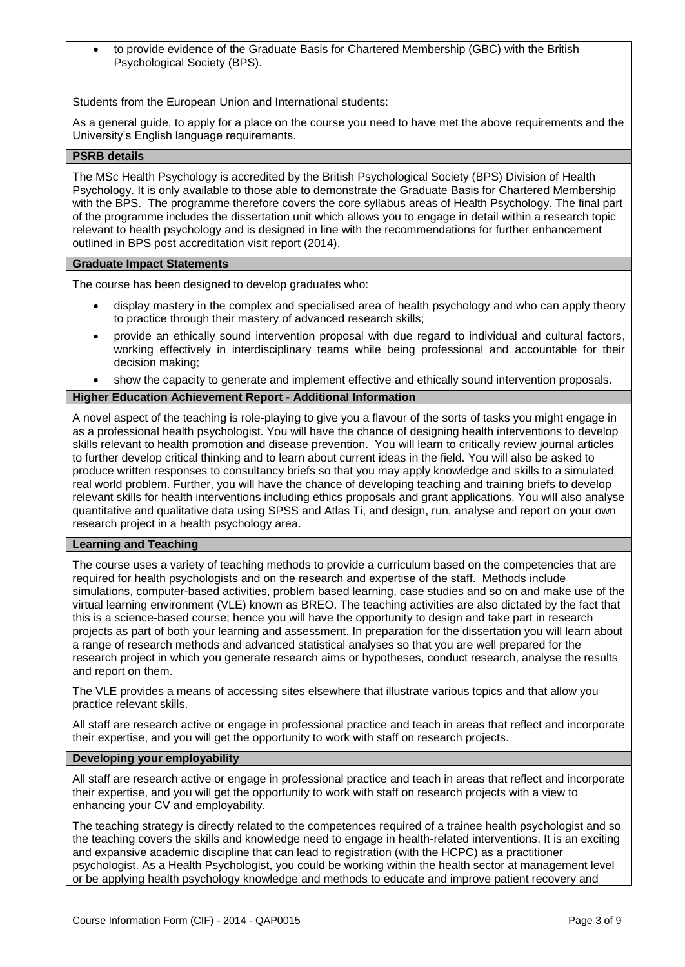to provide evidence of the Graduate Basis for Chartered Membership (GBC) with the British Psychological Society (BPS).

Students from the European Union and International students:

As a general guide, to apply for a place on the course you need to have met the above requirements and the University's English language requirements.

## **PSRB details**

The MSc Health Psychology is accredited by the British Psychological Society (BPS) Division of Health Psychology. It is only available to those able to demonstrate the Graduate Basis for Chartered Membership with the BPS. The programme therefore covers the core syllabus areas of Health Psychology. The final part of the programme includes the dissertation unit which allows you to engage in detail within a research topic relevant to health psychology and is designed in line with the recommendations for further enhancement outlined in BPS post accreditation visit report (2014).

#### **Graduate Impact Statements**

The course has been designed to develop graduates who:

- display mastery in the complex and specialised area of health psychology and who can apply theory to practice through their mastery of advanced research skills;
- provide an ethically sound intervention proposal with due regard to individual and cultural factors, working effectively in interdisciplinary teams while being professional and accountable for their decision making;
- show the capacity to generate and implement effective and ethically sound intervention proposals.

#### **Higher Education Achievement Report - Additional Information**

A novel aspect of the teaching is role-playing to give you a flavour of the sorts of tasks you might engage in as a professional health psychologist. You will have the chance of designing health interventions to develop skills relevant to health promotion and disease prevention. You will learn to critically review journal articles to further develop critical thinking and to learn about current ideas in the field. You will also be asked to produce written responses to consultancy briefs so that you may apply knowledge and skills to a simulated real world problem. Further, you will have the chance of developing teaching and training briefs to develop relevant skills for health interventions including ethics proposals and grant applications. You will also analyse quantitative and qualitative data using SPSS and Atlas Ti, and design, run, analyse and report on your own research project in a health psychology area.

#### **Learning and Teaching**

The course uses a variety of teaching methods to provide a curriculum based on the competencies that are required for health psychologists and on the research and expertise of the staff. Methods include simulations, computer-based activities, problem based learning, case studies and so on and make use of the virtual learning environment (VLE) known as BREO. The teaching activities are also dictated by the fact that this is a science-based course; hence you will have the opportunity to design and take part in research projects as part of both your learning and assessment. In preparation for the dissertation you will learn about a range of research methods and advanced statistical analyses so that you are well prepared for the research project in which you generate research aims or hypotheses, conduct research, analyse the results and report on them.

The VLE provides a means of accessing sites elsewhere that illustrate various topics and that allow you practice relevant skills.

All staff are research active or engage in professional practice and teach in areas that reflect and incorporate their expertise, and you will get the opportunity to work with staff on research projects.

## **Developing your employability**

All staff are research active or engage in professional practice and teach in areas that reflect and incorporate their expertise, and you will get the opportunity to work with staff on research projects with a view to enhancing your CV and employability.

The teaching strategy is directly related to the competences required of a trainee health psychologist and so the teaching covers the skills and knowledge need to engage in health-related interventions. It is an exciting and expansive academic discipline that can lead to registration (with the HCPC) as a practitioner psychologist. As a Health Psychologist, you could be working within the health sector at management level or be applying health psychology knowledge and methods to educate and improve patient recovery and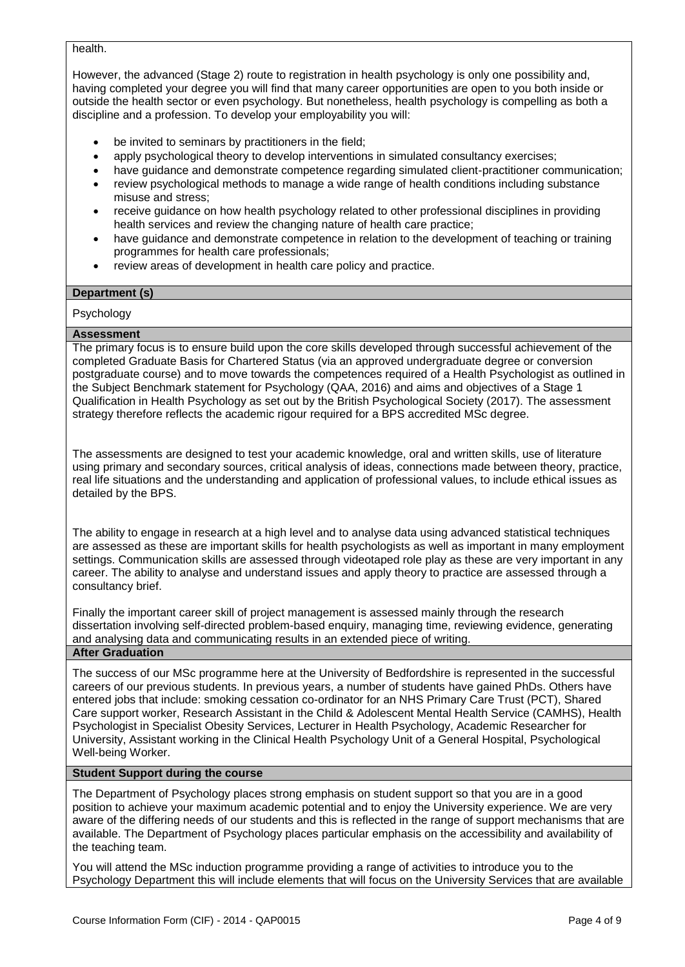#### health.

However, the advanced (Stage 2) route to registration in health psychology is only one possibility and, having completed your degree you will find that many career opportunities are open to you both inside or outside the health sector or even psychology. But nonetheless, health psychology is compelling as both a discipline and a profession. To develop your employability you will:

- be invited to seminars by practitioners in the field;
- apply psychological theory to develop interventions in simulated consultancy exercises;
- have guidance and demonstrate competence regarding simulated client-practitioner communication;
- review psychological methods to manage a wide range of health conditions including substance misuse and stress;
- receive guidance on how health psychology related to other professional disciplines in providing health services and review the changing nature of health care practice;
- have guidance and demonstrate competence in relation to the development of teaching or training programmes for health care professionals;
- review areas of development in health care policy and practice.

## **Department (s)**

#### Psychology

#### **Assessment**

The primary focus is to ensure build upon the core skills developed through successful achievement of the completed Graduate Basis for Chartered Status (via an approved undergraduate degree or conversion postgraduate course) and to move towards the competences required of a Health Psychologist as outlined in the Subject Benchmark statement for Psychology (QAA, 2016) and aims and objectives of a Stage 1 Qualification in Health Psychology as set out by the British Psychological Society (2017). The assessment strategy therefore reflects the academic rigour required for a BPS accredited MSc degree.

The assessments are designed to test your academic knowledge, oral and written skills, use of literature using primary and secondary sources, critical analysis of ideas, connections made between theory, practice, real life situations and the understanding and application of professional values, to include ethical issues as detailed by the BPS.

The ability to engage in research at a high level and to analyse data using advanced statistical techniques are assessed as these are important skills for health psychologists as well as important in many employment settings. Communication skills are assessed through videotaped role play as these are very important in any career. The ability to analyse and understand issues and apply theory to practice are assessed through a consultancy brief.

Finally the important career skill of project management is assessed mainly through the research dissertation involving self-directed problem-based enquiry, managing time, reviewing evidence, generating and analysing data and communicating results in an extended piece of writing.

## **After Graduation**

The success of our MSc programme here at the University of Bedfordshire is represented in the successful careers of our previous students. In previous years, a number of students have gained PhDs. Others have entered jobs that include: smoking cessation co-ordinator for an NHS Primary Care Trust (PCT), Shared Care support worker, Research Assistant in the Child & Adolescent Mental Health Service (CAMHS), Health Psychologist in Specialist Obesity Services, Lecturer in Health Psychology, Academic Researcher for University, Assistant working in the Clinical Health Psychology Unit of a General Hospital, Psychological Well-being Worker.

#### **Student Support during the course**

The Department of Psychology places strong emphasis on student support so that you are in a good position to achieve your maximum academic potential and to enjoy the University experience. We are very aware of the differing needs of our students and this is reflected in the range of support mechanisms that are available. The Department of Psychology places particular emphasis on the accessibility and availability of the teaching team.

You will attend the MSc induction programme providing a range of activities to introduce you to the Psychology Department this will include elements that will focus on the University Services that are available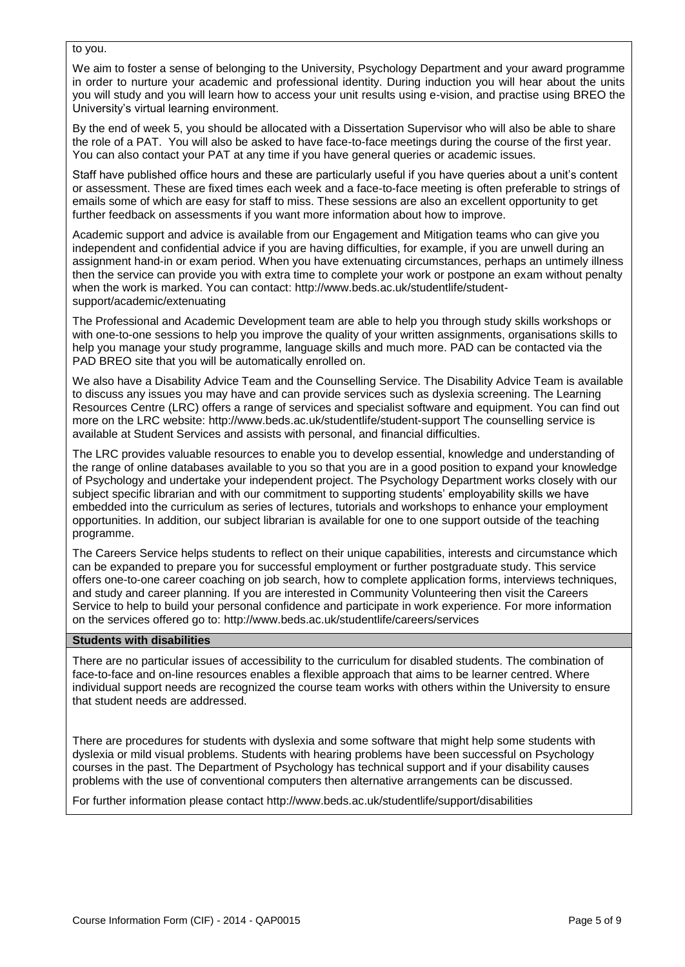#### to you.

We aim to foster a sense of belonging to the University, Psychology Department and your award programme in order to nurture your academic and professional identity. During induction you will hear about the units you will study and you will learn how to access your unit results using e-vision, and practise using BREO the University's virtual learning environment.

By the end of week 5, you should be allocated with a Dissertation Supervisor who will also be able to share the role of a PAT. You will also be asked to have face-to-face meetings during the course of the first year. You can also contact your PAT at any time if you have general queries or academic issues.

Staff have published office hours and these are particularly useful if you have queries about a unit's content or assessment. These are fixed times each week and a face-to-face meeting is often preferable to strings of emails some of which are easy for staff to miss. These sessions are also an excellent opportunity to get further feedback on assessments if you want more information about how to improve.

[Academic support and advice](http://www.beds.ac.uk/studentlife/student-support/academic) is available from our Engagement and [Mitigation](http://www.beds.ac.uk/studentlife/student-support/academic/extenuating) teams who can give you independent and confidential advice if you are having difficulties, for example, if you are unwell during an assignment hand-in or exam period. When you have extenuating circumstances, perhaps an untimely illness then the service can provide you with extra time to complete your work or postpone an exam without penalty when the work is marked. You can contact: [http://www.beds.ac.uk/studentlife/student](http://www.beds.ac.uk/studentlife/student-support/academic/extenuating)[support/academic/extenuating](http://www.beds.ac.uk/studentlife/student-support/academic/extenuating)

The Professional and Academic Development team are able to help you through study skills workshops or with one-to-one sessions to help you improve the quality of your written assignments, organisations skills to help you manage your study programme, language skills and much more. PAD can be contacted via the PAD BREO site that you will be automatically enrolled on.

We also have a Disability Advice Team and the Counselling Service. The Disability Advice Team is available to discuss any issues you may have and can provide services such as dyslexia screening. The Learning Resources Centre (LRC) offers a range of services and specialist software and equipment. You can find out more on the LRC website:<http://www.beds.ac.uk/studentlife/student-support> The counselling service is available at Student Services and assists with personal, and financial difficulties.

The LRC provides valuable resources to enable you to develop essential, knowledge and understanding of the range of online databases available to you so that you are in a good position to expand your knowledge of Psychology and undertake your independent project. The Psychology Department works closely with our subject specific librarian and with our commitment to supporting students' employability skills we have embedded into the curriculum as series of lectures, tutorials and workshops to enhance your employment opportunities. In addition, our subject librarian is available for one to one support outside of the teaching programme.

The Careers Service helps students to reflect on their unique capabilities, interests and circumstance which can be expanded to prepare you for successful employment or further postgraduate study. This service offers one-to-one career coaching on job search, how to complete application forms, interviews techniques, and study and career planning. If you are interested in Community Volunteering then visit the Careers Service to help to build your personal confidence and participate in work experience. For more information on the services offered go to:<http://www.beds.ac.uk/studentlife/careers/services>

#### **Students with disabilities**

There are no particular issues of accessibility to the curriculum for disabled students. The combination of face-to-face and on-line resources enables a flexible approach that aims to be learner centred. Where individual support needs are recognized the course team works with others within the University to ensure that student needs are addressed.

There are procedures for students with dyslexia and some software that might help some students with dyslexia or mild visual problems. Students with hearing problems have been successful on Psychology courses in the past. The Department of Psychology has technical support and if your disability causes problems with the use of conventional computers then alternative arrangements can be discussed.

For further information please contact<http://www.beds.ac.uk/studentlife/support/disabilities>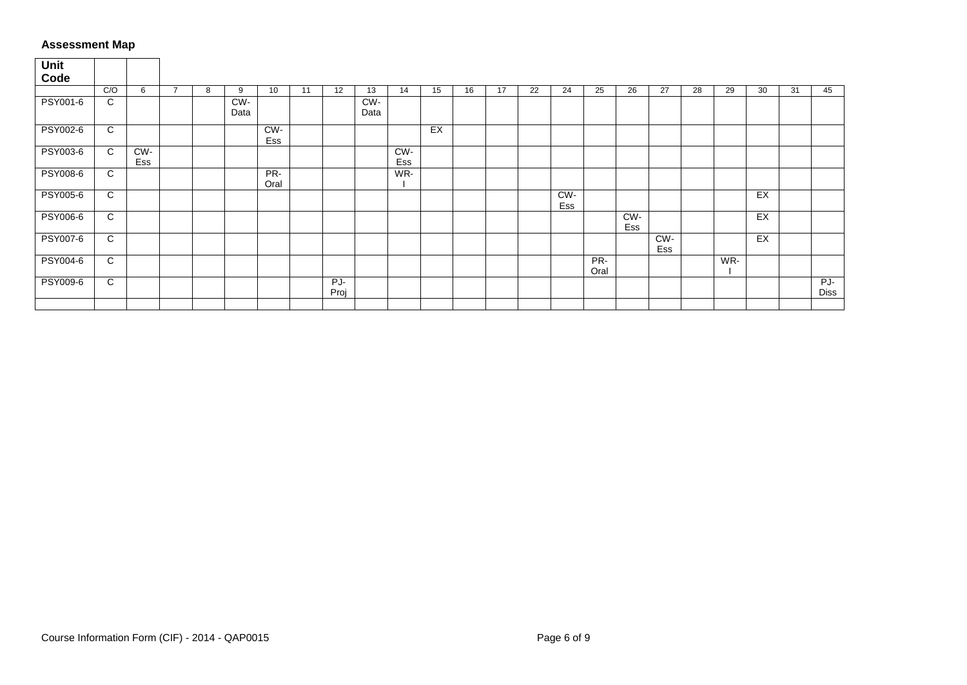## **Assessment Map**

| Unit<br>Code    |     |            |   |   |             |             |    |             |             |            |    |    |    |    |            |             |            |            |    |     |    |    |                    |
|-----------------|-----|------------|---|---|-------------|-------------|----|-------------|-------------|------------|----|----|----|----|------------|-------------|------------|------------|----|-----|----|----|--------------------|
|                 | C/O | 6          | 7 | 8 | 9           | 10          | 11 | 12          | 13          | 14         | 15 | 16 | 17 | 22 | 24         | 25          | 26         | 27         | 28 | 29  | 30 | 31 | 45                 |
| PSY001-6        | C   |            |   |   | CW-<br>Data |             |    |             | CW-<br>Data |            |    |    |    |    |            |             |            |            |    |     |    |    |                    |
| <b>PSY002-6</b> | C   |            |   |   |             | CW-<br>Ess  |    |             |             |            | EX |    |    |    |            |             |            |            |    |     |    |    |                    |
| PSY003-6        | C   | CW-<br>Ess |   |   |             |             |    |             |             | CW-<br>Ess |    |    |    |    |            |             |            |            |    |     |    |    |                    |
| PSY008-6        | C   |            |   |   |             | PR-<br>Oral |    |             |             | WR-        |    |    |    |    |            |             |            |            |    |     |    |    |                    |
| PSY005-6        | C   |            |   |   |             |             |    |             |             |            |    |    |    |    | CW-<br>Ess |             |            |            |    |     | EX |    |                    |
| PSY006-6        | C   |            |   |   |             |             |    |             |             |            |    |    |    |    |            |             | CW-<br>Ess |            |    |     | EX |    |                    |
| PSY007-6        | C   |            |   |   |             |             |    |             |             |            |    |    |    |    |            |             |            | CW-<br>Ess |    |     | EX |    |                    |
| PSY004-6        | C   |            |   |   |             |             |    |             |             |            |    |    |    |    |            | PR-<br>Oral |            |            |    | WR- |    |    |                    |
| PSY009-6        | C   |            |   |   |             |             |    | PJ-<br>Proj |             |            |    |    |    |    |            |             |            |            |    |     |    |    | PJ-<br><b>Diss</b> |
|                 |     |            |   |   |             |             |    |             |             |            |    |    |    |    |            |             |            |            |    |     |    |    |                    |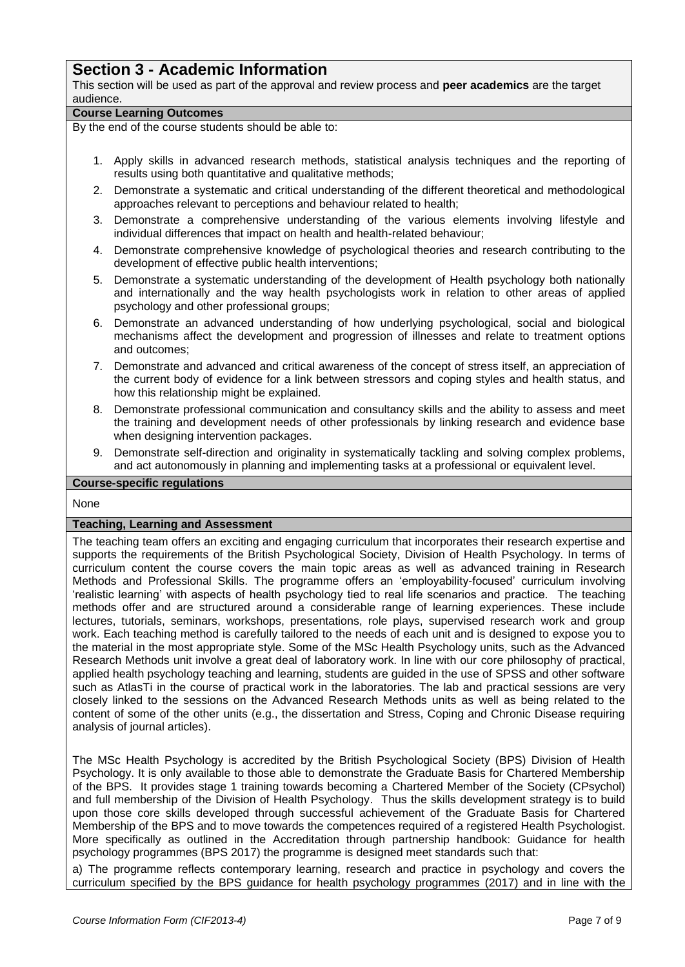# **Section 3 - Academic Information**

This section will be used as part of the approval and review process and **peer academics** are the target audience.

#### **Course Learning Outcomes**

By the end of the course students should be able to:

- 1. Apply skills in advanced research methods, statistical analysis techniques and the reporting of results using both quantitative and qualitative methods;
- 2. Demonstrate a systematic and critical understanding of the different theoretical and methodological approaches relevant to perceptions and behaviour related to health;
- 3. Demonstrate a comprehensive understanding of the various elements involving lifestyle and individual differences that impact on health and health-related behaviour;
- 4. Demonstrate comprehensive knowledge of psychological theories and research contributing to the development of effective public health interventions;
- 5. Demonstrate a systematic understanding of the development of Health psychology both nationally and internationally and the way health psychologists work in relation to other areas of applied psychology and other professional groups;
- 6. Demonstrate an advanced understanding of how underlying psychological, social and biological mechanisms affect the development and progression of illnesses and relate to treatment options and outcomes;
- 7. Demonstrate and advanced and critical awareness of the concept of stress itself, an appreciation of the current body of evidence for a link between stressors and coping styles and health status, and how this relationship might be explained.
- 8. Demonstrate professional communication and consultancy skills and the ability to assess and meet the training and development needs of other professionals by linking research and evidence base when designing intervention packages.
- 9. Demonstrate self-direction and originality in systematically tackling and solving complex problems, and act autonomously in planning and implementing tasks at a professional or equivalent level.

## **Course-specific regulations**

None

## **Teaching, Learning and Assessment**

The teaching team offers an exciting and engaging curriculum that incorporates their research expertise and supports the requirements of the British Psychological Society, Division of Health Psychology. In terms of curriculum content the course covers the main topic areas as well as advanced training in Research Methods and Professional Skills. The programme offers an 'employability-focused' curriculum involving 'realistic learning' with aspects of health psychology tied to real life scenarios and practice. The teaching methods offer and are structured around a considerable range of learning experiences. These include lectures, tutorials, seminars, workshops, presentations, role plays, supervised research work and group work. Each teaching method is carefully tailored to the needs of each unit and is designed to expose you to the material in the most appropriate style. Some of the MSc Health Psychology units, such as the Advanced Research Methods unit involve a great deal of laboratory work. In line with our core philosophy of practical, applied health psychology teaching and learning, students are guided in the use of SPSS and other software such as AtlasTi in the course of practical work in the laboratories. The lab and practical sessions are very closely linked to the sessions on the Advanced Research Methods units as well as being related to the content of some of the other units (e.g., the dissertation and Stress, Coping and Chronic Disease requiring analysis of journal articles).

The MSc Health Psychology is accredited by the British Psychological Society (BPS) Division of Health Psychology. It is only available to those able to demonstrate the Graduate Basis for Chartered Membership of the BPS. It provides stage 1 training towards becoming a Chartered Member of the Society (CPsychol) and full membership of the Division of Health Psychology. Thus the skills development strategy is to build upon those core skills developed through successful achievement of the Graduate Basis for Chartered Membership of the BPS and to move towards the competences required of a registered Health Psychologist. More specifically as outlined in the Accreditation through partnership handbook: Guidance for health psychology programmes (BPS 2017) the programme is designed meet standards such that:

a) The programme reflects contemporary learning, research and practice in psychology and covers the curriculum specified by the BPS guidance for health psychology programmes (2017) and in line with the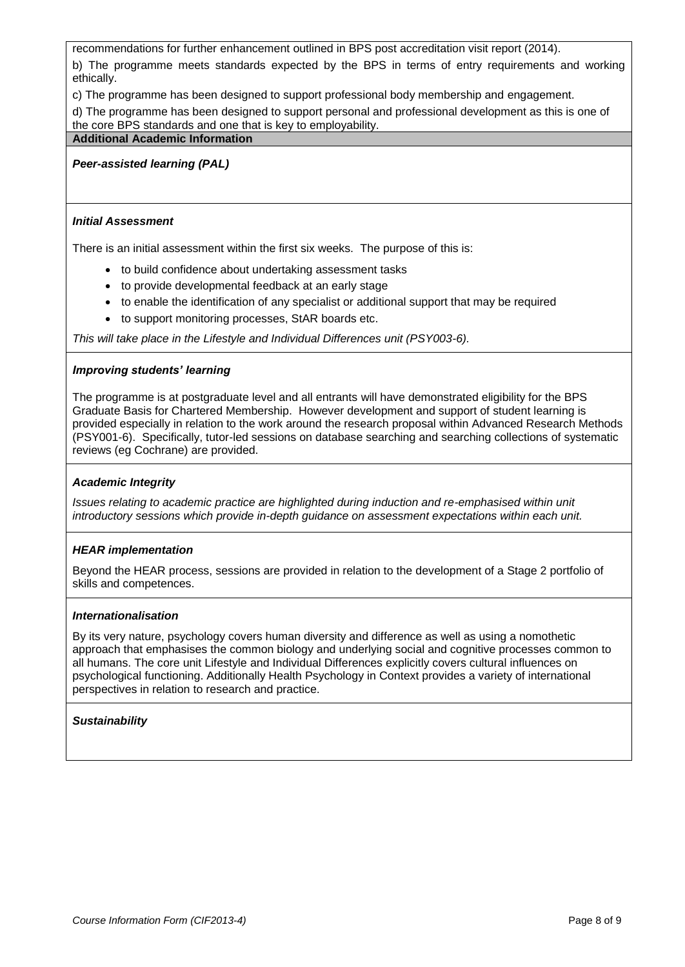recommendations for further enhancement outlined in BPS post accreditation visit report (2014).

b) The programme meets standards expected by the BPS in terms of entry requirements and working ethically.

c) The programme has been designed to support professional body membership and engagement.

d) The programme has been designed to support personal and professional development as this is one of the core BPS standards and one that is key to employability.

#### **Additional Academic Information**

*Peer-assisted learning (PAL)*

#### *Initial Assessment*

There is an initial assessment within the first six weeks. The purpose of this is:

- to build confidence about undertaking assessment tasks
- to provide developmental feedback at an early stage
- to enable the identification of any specialist or additional support that may be required
- to support monitoring processes, StAR boards etc.

*This will take place in the Lifestyle and Individual Differences unit (PSY003-6).*

#### *Improving students' learning*

The programme is at postgraduate level and all entrants will have demonstrated eligibility for the BPS Graduate Basis for Chartered Membership. However development and support of student learning is provided especially in relation to the work around the research proposal within Advanced Research Methods (PSY001-6). Specifically, tutor-led sessions on database searching and searching collections of systematic reviews (eg Cochrane) are provided.

#### *Academic Integrity*

*Issues relating to academic practice are highlighted during induction and re-emphasised within unit introductory sessions which provide in-depth guidance on assessment expectations within each unit.*

## *HEAR implementation*

Beyond the HEAR process, sessions are provided in relation to the development of a Stage 2 portfolio of skills and competences.

#### *Internationalisation*

By its very nature, psychology covers human diversity and difference as well as using a nomothetic approach that emphasises the common biology and underlying social and cognitive processes common to all humans. The core unit Lifestyle and Individual Differences explicitly covers cultural influences on psychological functioning. Additionally Health Psychology in Context provides a variety of international perspectives in relation to research and practice.

## *Sustainability*